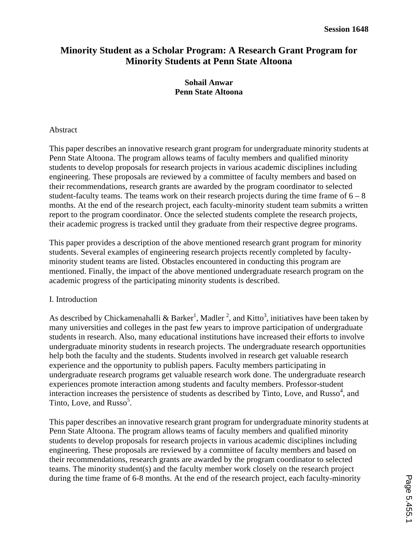# **Minority Student as a Scholar Program: A Research Grant Program for Minority Students at Penn State Altoona**

## **Sohail Anwar Penn State Altoona**

## Abstract

This paper describes an innovative research grant program for undergraduate minority students at Penn State Altoona. The program allows teams of faculty members and qualified minority students to develop proposals for research projects in various academic disciplines including engineering. These proposals are reviewed by a committee of faculty members and based on their recommendations, research grants are awarded by the program coordinator to selected student-faculty teams. The teams work on their research projects during the time frame of  $6 - 8$ months. At the end of the research project, each faculty-minority student team submits a written report to the program coordinator. Once the selected students complete the research projects, their academic progress is tracked until they graduate from their respective degree programs.

This paper provides a description of the above mentioned research grant program for minority students. Several examples of engineering research projects recently completed by facultyminority student teams are listed. Obstacles encountered in conducting this program are mentioned. Finally, the impact of the above mentioned undergraduate research program on the academic progress of the participating minority students is described.

### I. Introduction

As described by Chickamenahalli & Barker<sup>1</sup>, Madler<sup>2</sup>, and Kitto<sup>3</sup>, initiatives have been taken by many universities and colleges in the past few years to improve participation of undergraduate students in research. Also, many educational institutions have increased their efforts to involve undergraduate minority students in research projects. The undergraduate research opportunities help both the faculty and the students. Students involved in research get valuable research experience and the opportunity to publish papers. Faculty members participating in undergraduate research programs get valuable research work done. The undergraduate research experiences promote interaction among students and faculty members. Professor-student interaction increases the persistence of students as described by Tinto, Love, and Russo<sup>4</sup>, and Tinto, Love, and Russo $5<sup>5</sup>$ .

This paper describes an innovative research grant program for undergraduate minority students at Penn State Altoona. The program allows teams of faculty members and qualified minority students to develop proposals for research projects in various academic disciplines including engineering. These proposals are reviewed by a committee of faculty members and based on their recommendations, research grants are awarded by the program coordinator to selected teams. The minority student(s) and the faculty member work closely on the research project during the time frame of 6-8 months. At the end of the research project, each faculty-minority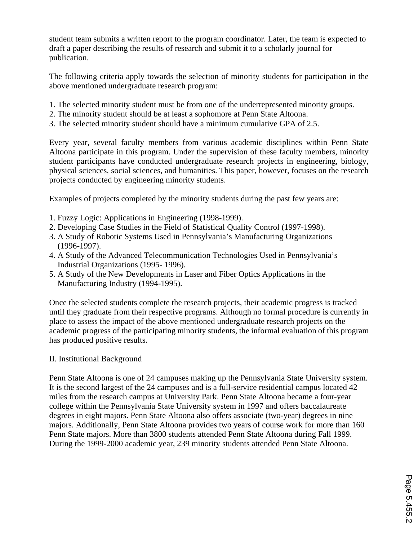student team submits a written report to the program coordinator. Later, the team is expected to draft a paper describing the results of research and submit it to a scholarly journal for publication.

The following criteria apply towards the selection of minority students for participation in the above mentioned undergraduate research program:

- 1. The selected minority student must be from one of the underrepresented minority groups.
- 2. The minority student should be at least a sophomore at Penn State Altoona.
- 3. The selected minority student should have a minimum cumulative GPA of 2.5.

Every year, several faculty members from various academic disciplines within Penn State Altoona participate in this program. Under the supervision of these faculty members, minority student participants have conducted undergraduate research projects in engineering, biology, physical sciences, social sciences, and humanities. This paper, however, focuses on the research projects conducted by engineering minority students.

Examples of projects completed by the minority students during the past few years are:

- 1. Fuzzy Logic: Applications in Engineering (1998-1999).
- 2. Developing Case Studies in the Field of Statistical Quality Control (1997-1998).
- 3. A Study of Robotic Systems Used in Pennsylvania's Manufacturing Organizations (1996-1997).
- 4. A Study of the Advanced Telecommunication Technologies Used in Pennsylvania's Industrial Organizations (1995- 1996).
- 5. A Study of the New Developments in Laser and Fiber Optics Applications in the Manufacturing Industry (1994-1995).

Once the selected students complete the research projects, their academic progress is tracked until they graduate from their respective programs. Although no formal procedure is currently in place to assess the impact of the above mentioned undergraduate research projects on the academic progress of the participating minority students, the informal evaluation of this program has produced positive results.

## II. Institutional Background

Penn State Altoona is one of 24 campuses making up the Pennsylvania State University system. It is the second largest of the 24 campuses and is a full-service residential campus located 42 miles from the research campus at University Park. Penn State Altoona became a four-year college within the Pennsylvania State University system in 1997 and offers baccalaureate degrees in eight majors. Penn State Altoona also offers associate (two-year) degrees in nine majors. Additionally, Penn State Altoona provides two years of course work for more than 160 Penn State majors. More than 3800 students attended Penn State Altoona during Fall 1999. During the 1999-2000 academic year, 239 minority students attended Penn State Altoona.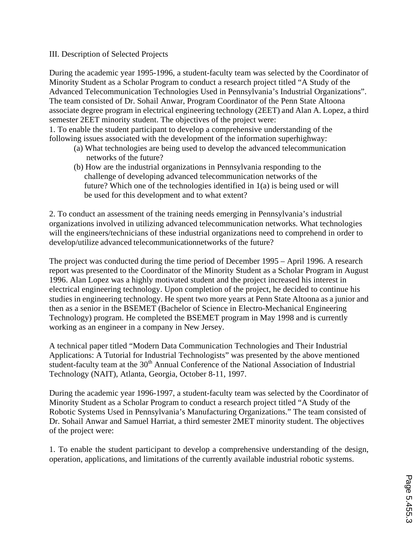## III. Description of Selected Projects

During the academic year 1995-1996, a student-faculty team was selected by the Coordinator of Minority Student as a Scholar Program to conduct a research project titled "A Study of the Advanced Telecommunication Technologies Used in Pennsylvania's Industrial Organizations". The team consisted of Dr. Sohail Anwar, Program Coordinator of the Penn State Altoona associate degree program in electrical engineering technology (2EET) and Alan A. Lopez, a third semester 2EET minority student. The objectives of the project were:

1. To enable the student participant to develop a comprehensive understanding of the following issues associated with the development of the information superhighway:

- (a) What technologies are being used to develop the advanced telecommunication networks of the future?
- (b) How are the industrial organizations in Pennsylvania responding to the challenge of developing advanced telecommunication networks of the future? Which one of the technologies identified in 1(a) is being used or will be used for this development and to what extent?

2. To conduct an assessment of the training needs emerging in Pennsylvania's industrial organizations involved in utilizing advanced telecommunication networks. What technologies will the engineers/technicians of these industrial organizations need to comprehend in order to develop/utilize advanced telecommunicationnetworks of the future?

The project was conducted during the time period of December 1995 – April 1996. A research report was presented to the Coordinator of the Minority Student as a Scholar Program in August 1996. Alan Lopez was a highly motivated student and the project increased his interest in electrical engineering technology. Upon completion of the project, he decided to continue his studies in engineering technology. He spent two more years at Penn State Altoona as a junior and then as a senior in the BSEMET (Bachelor of Science in Electro-Mechanical Engineering Technology) program. He completed the BSEMET program in May 1998 and is currently working as an engineer in a company in New Jersey.

A technical paper titled "Modern Data Communication Technologies and Their Industrial Applications: A Tutorial for Industrial Technologists" was presented by the above mentioned student-faculty team at the  $30<sup>th</sup>$  Annual Conference of the National Association of Industrial Technology (NAIT), Atlanta, Georgia, October 8-11, 1997.

During the academic year 1996-1997, a student-faculty team was selected by the Coordinator of Minority Student as a Scholar Program to conduct a research project titled "A Study of the Robotic Systems Used in Pennsylvania's Manufacturing Organizations." The team consisted of Dr. Sohail Anwar and Samuel Harriat, a third semester 2MET minority student. The objectives of the project were:

1. To enable the student participant to develop a comprehensive understanding of the design, operation, applications, and limitations of the currently available industrial robotic systems.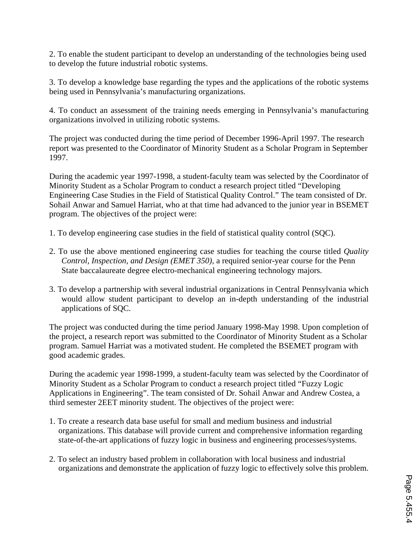2. To enable the student participant to develop an understanding of the technologies being used to develop the future industrial robotic systems.

3. To develop a knowledge base regarding the types and the applications of the robotic systems being used in Pennsylvania's manufacturing organizations.

4. To conduct an assessment of the training needs emerging in Pennsylvania's manufacturing organizations involved in utilizing robotic systems.

The project was conducted during the time period of December 1996-April 1997. The research report was presented to the Coordinator of Minority Student as a Scholar Program in September 1997.

During the academic year 1997-1998, a student-faculty team was selected by the Coordinator of Minority Student as a Scholar Program to conduct a research project titled "Developing Engineering Case Studies in the Field of Statistical Quality Control." The team consisted of Dr. Sohail Anwar and Samuel Harriat, who at that time had advanced to the junior year in BSEMET program. The objectives of the project were:

- 1. To develop engineering case studies in the field of statistical quality control (SQC).
- 2. To use the above mentioned engineering case studies for teaching the course titled *Quality Control, Inspection, and Design (EMET 350)*, a required senior-year course for the Penn State baccalaureate degree electro-mechanical engineering technology majors.
- 3. To develop a partnership with several industrial organizations in Central Pennsylvania which would allow student participant to develop an in-depth understanding of the industrial applications of SQC.

The project was conducted during the time period January 1998-May 1998. Upon completion of the project, a research report was submitted to the Coordinator of Minority Student as a Scholar program. Samuel Harriat was a motivated student. He completed the BSEMET program with good academic grades.

During the academic year 1998-1999, a student-faculty team was selected by the Coordinator of Minority Student as a Scholar Program to conduct a research project titled "Fuzzy Logic Applications in Engineering". The team consisted of Dr. Sohail Anwar and Andrew Costea, a third semester 2EET minority student. The objectives of the project were:

- 1. To create a research data base useful for small and medium business and industrial organizations. This database will provide current and comprehensive information regarding state-of-the-art applications of fuzzy logic in business and engineering processes/systems.
- 2. To select an industry based problem in collaboration with local business and industrial organizations and demonstrate the application of fuzzy logic to effectively solve this problem.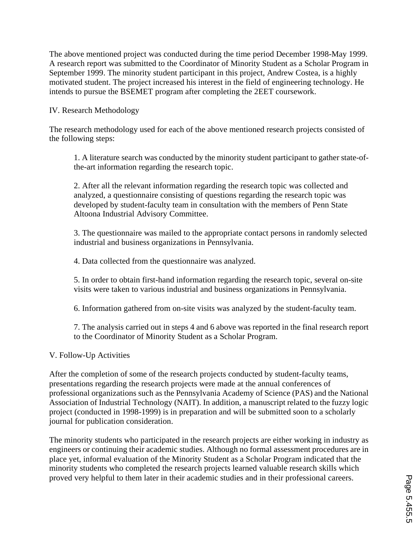The above mentioned project was conducted during the time period December 1998-May 1999. A research report was submitted to the Coordinator of Minority Student as a Scholar Program in September 1999. The minority student participant in this project, Andrew Costea, is a highly motivated student. The project increased his interest in the field of engineering technology. He intends to pursue the BSEMET program after completing the 2EET coursework.

## IV. Research Methodology

The research methodology used for each of the above mentioned research projects consisted of the following steps:

1. A literature search was conducted by the minority student participant to gather state-ofthe-art information regarding the research topic.

2. After all the relevant information regarding the research topic was collected and analyzed, a questionnaire consisting of questions regarding the research topic was developed by student-faculty team in consultation with the members of Penn State Altoona Industrial Advisory Committee.

3. The questionnaire was mailed to the appropriate contact persons in randomly selected industrial and business organizations in Pennsylvania.

4. Data collected from the questionnaire was analyzed.

5. In order to obtain first-hand information regarding the research topic, several on-site visits were taken to various industrial and business organizations in Pennsylvania.

6. Information gathered from on-site visits was analyzed by the student-faculty team.

7. The analysis carried out in steps 4 and 6 above was reported in the final research report to the Coordinator of Minority Student as a Scholar Program.

## V. Follow-Up Activities

After the completion of some of the research projects conducted by student-faculty teams, presentations regarding the research projects were made at the annual conferences of professional organizations such as the Pennsylvania Academy of Science (PAS) and the National Association of Industrial Technology (NAIT). In addition, a manuscript related to the fuzzy logic project (conducted in 1998-1999) is in preparation and will be submitted soon to a scholarly journal for publication consideration.

The minority students who participated in the research projects are either working in industry as engineers or continuing their academic studies. Although no formal assessment procedures are in place yet, informal evaluation of the Minority Student as a Scholar Program indicated that the minority students who completed the research projects learned valuable research skills which proved very helpful to them later in their academic studies and in their professional careers.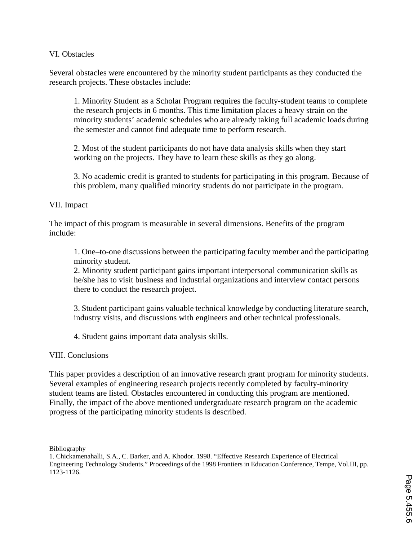## VI. Obstacles

Several obstacles were encountered by the minority student participants as they conducted the research projects. These obstacles include:

1. Minority Student as a Scholar Program requires the faculty-student teams to complete the research projects in 6 months. This time limitation places a heavy strain on the minority students' academic schedules who are already taking full academic loads during the semester and cannot find adequate time to perform research.

2. Most of the student participants do not have data analysis skills when they start working on the projects. They have to learn these skills as they go along.

3. No academic credit is granted to students for participating in this program. Because of this problem, many qualified minority students do not participate in the program.

### VII. Impact

The impact of this program is measurable in several dimensions. Benefits of the program include:

1. One–to-one discussions between the participating faculty member and the participating minority student.

2. Minority student participant gains important interpersonal communication skills as he/she has to visit business and industrial organizations and interview contact persons there to conduct the research project.

3. Student participant gains valuable technical knowledge by conducting literature search, industry visits, and discussions with engineers and other technical professionals.

4. Student gains important data analysis skills.

### VIII. Conclusions

This paper provides a description of an innovative research grant program for minority students. Several examples of engineering research projects recently completed by faculty-minority student teams are listed. Obstacles encountered in conducting this program are mentioned. Finally, the impact of the above mentioned undergraduate research program on the academic progress of the participating minority students is described.

Bibliography

<sup>1.</sup> Chickamenahalli, S.A., C. Barker, and A. Khodor. 1998. "Effective Research Experience of Electrical Engineering Technology Students." Proceedings of the 1998 Frontiers in Education Conference, Tempe, Vol.III, pp. 1123-1126.